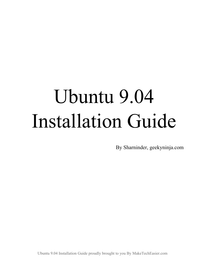# Ubuntu 9.04 Installation Guide

By Sharninder, geekyninja.com

Ubuntu 9.04 Installation Guide proudly brought to you By MakeTechEasier.com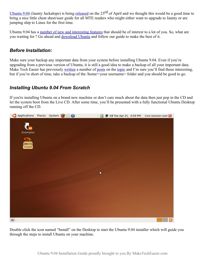[Ubuntu 9.04](http://ubuntu.com/) (Jaunty Jackalope) is being [released](http://www.ubuntu.com/getubuntu) on the  $23<sup>rd</sup>$  of April and we thought this would be a good time to bring a nice little cheat sheet/user guide for all MTE readers who might either want to upgrade to Jaunty or are jumping ship to Linux for the first time.

Ubuntu 9.04 has a [number of new and interesting features](http://maketecheasier.com/whats-new-in-ubuntu-904-jaunty-jackalope/2009/04/20) that should be of interest to a lot of you. So, what are you waiting for ? Go ahead and [download Ubuntu](http://www.ubuntu.com/getubuntu) and follow our guide to make the best of it.

#### *Before Installation:*

Make sure your backup any important data from your system before installing Ubuntu 9.04. Even if you're upgrading from a previous version of Ubuntu, it is still a good idea to make a backup of all your important data. Make Tech Easier has previously [written](http://maketecheasier.com/backing-up-data-in-ubuntu-using-sbackup/2007/12/08) a number of [posts](http://maketecheasier.com/backup-ubuntu-with-remastersys/2008/12/22) on the [topic](http://maketecheasier.com/manage-your-synchronization-and-backup-easily-with-conduit-for-linux/2008/10/13) and I'm sure you'll find those interesting, but if you're short of time, take a backup of the /home/<your username> folder and you should be good to go.

### *Installing Ubuntu 9.04 From Scratch*

If you're installing Ubuntu on a brand new machine or don't care much about the data then just pop in the CD and let the system boot from the Live CD. After some time, you'll be presented with a fully functional Ubuntu Desktop running off the CD.



Double click the icon named "Install" on the Desktop to start the Ubuntu 9.04 installer which will guide you through the steps to install Ubuntu on your machine.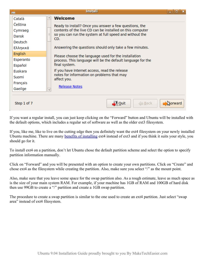

If you want a regular install, you can just keep clicking on the "Forward" button and Ubuntu will be installed with the default options, which includes a regular set of software as well as the older ext3 filesystem.

If you, like me, like to live on the cutting edge then you definitely want the ext4 filesystem on your newly installed Ubuntu machine. There are many [benefits of installing](http://maketecheasier.com/whats-new-in-ubuntu-904-jaunty-jackalope/2009/04/20) ext4 instead of ext3 and if you think it suits your style, you should go for it.

To install ext4 on a partition, don't let Ubuntu chose the default partition scheme and select the option to specify partition information manually.

Click on "Forward" and you will be presented with an option to create your own partitions. Click on "Create" and chose ext4 as the filesystem while creating the partition. Also, make sure you select "/" as the mount point.

Also, make sure that you leave some space for the swap partition also. As a rough estimate, leave as much space as is the size of your main system RAM. For example, if your machine has 1GB of RAM and 100GB of hard disk then use 99GB to create a "/" partition and create a 1GB swap partition.

The procedure to create a swap partition is similar to the one used to create an ext4 partition. Just select "swap area" instead of ext4 filesystem.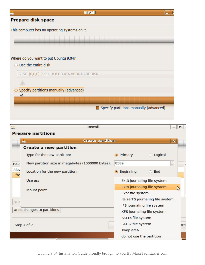

| <b>Prepare partitions</b><br><b>Create partition</b>                                           | $\pmb{\times}$ |
|------------------------------------------------------------------------------------------------|----------------|
|                                                                                                |                |
|                                                                                                |                |
| <b>Create a new partition</b>                                                                  |                |
| Type for the new partition:<br><b>O</b> Primary<br>Logical                                     |                |
| New partition size in megabytes (1000000 bytes):<br>8589<br>Dev                                | $\checkmark$   |
| /dev<br>Location for the new partition:<br><b>Beginning</b><br>$\circ$ End<br>$\bullet$<br>fre |                |
| Use as:<br>Ext3 journaling file system                                                         |                |
| Ext4 journaling file system<br>Mount point:                                                    |                |
| Ext2 file system                                                                               |                |
| ReiserFS journaling file system<br>Nev                                                         |                |
| JFS journaling file system                                                                     |                |
| Undo changes to partitions<br>XFS journaling file system                                       |                |
| FAT16 file system                                                                              |                |
| FAT32 file system<br>Step 4 of 7                                                               |                |
| swap area                                                                                      |                |
| do not use the partition<br>$\sim$ $\sim$                                                      |                |

Ubuntu 9.04 Installation Guide proudly brought to you By MakeTechEasier.com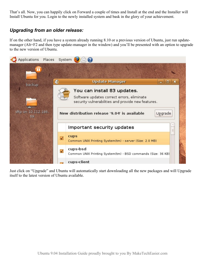That's all. Now, you can happily click on Forward a couple of times and Install at the end and the Installer will Install Ubuntu for you. Login to the newly installed system and bask in the glory of your achievement.

## *Upgrading from an older release:*

If on the other hand, if you have a system already running 8.10 or a previous version of Ubuntu, just run updatemanager (Alt+F2 and then type update-manager in the window) and you'll be presented with an option to upgrade to the new version of Ubuntu.



Just click on "Upgrade" and Ubuntu will automatically start downloading all the new packages and will Upgrade itself to the latest version of Ubuntu available.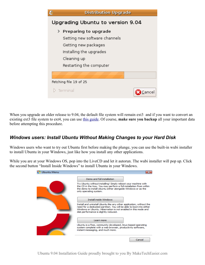| C                                | <b>Distribution Upgrade</b>                                                                                                                          |        |  |
|----------------------------------|------------------------------------------------------------------------------------------------------------------------------------------------------|--------|--|
| Upgrading Ubuntu to version 9.04 |                                                                                                                                                      |        |  |
|                                  | > Preparing to upgrade<br>Setting new software channels<br>Getting new packages<br>Installing the upgrades<br>Cleaning up<br>Restarting the computer |        |  |
|                                  | Fetching file 19 of 25<br>Terminal                                                                                                                   | Cancel |  |

When you upgrade an older release to 9.04, the default file system will remain ext3 and if you want to convert an existing ext3 file system to ext4, you can use [this guide.](http://maketecheasier.com/how-to-upgrade-from-ext3-to-ext4-without-formatting-the-hard-disk/2009/04/21) Of course, **make sure you backup** all your important data before attempting this procedure.

### *Windows users: Install Ubuntu Without Making Changes to your Hard Disk*

Windows users who want to try out Ubuntu first before making the plunge, you can use the built-in wubi installer to install Ubuntu in your Windows, just like how you install any other applications.

While you are at your Windows OS, pop into the LiveCD and let it autorun. The wubi installer will pop up. Click the second button "Install Inside Windows" to install Ubuntu in your Windows.

| Ubuntu Menu |                                                                                                                                                                                                                                                         |
|-------------|---------------------------------------------------------------------------------------------------------------------------------------------------------------------------------------------------------------------------------------------------------|
|             | Demo and full installation.                                                                                                                                                                                                                             |
|             | Try Ubuntu without installing! Simply reboot your machine with<br>the CD in the tray. You may perform a full installation from within<br>the demo to install Ubuntu either alongside Windows or as the<br>only operating system.                        |
|             | <b>Install inside Windows</b>                                                                                                                                                                                                                           |
|             | Install and uninstall Ubuntu like any other application, without the<br>need for a dedicated partition. You will be able to boot into either<br>Windows or Ubuntu. Hibernation is not enabled in this mode and<br>disk performance is slightly reduced. |
|             | Learn more                                                                                                                                                                                                                                              |
|             | Ubuntu is a free, community developed, linux-based operating<br>system complete with a web browser, productivity software,<br>instant messaging, and much more.                                                                                         |
|             | Cancel                                                                                                                                                                                                                                                  |

Ubuntu 9.04 Installation Guide proudly brought to you By MakeTechEasier.com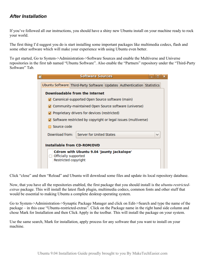## *After Installation*

If you've followed all our instructions, you should have a shiny new Ubuntu install on your machine ready to rock your world.

The first thing I'd suggest you do is start installing some important packages like multimedia codecs, flash and some other software which will make your experience with using Ubuntu even better.

To get started, Go to System->Administration->Software Sources and enable the Multiverse and Universe repositories in the first tab named "Ubuntu Software". Also enable the "Partners" repository under the "Third-Party Software" Tab.

|                                                                                           |                                                                      | <b>Software Sources</b>                                                |  |  |              |
|-------------------------------------------------------------------------------------------|----------------------------------------------------------------------|------------------------------------------------------------------------|--|--|--------------|
|                                                                                           |                                                                      | Ubuntu Software Third-Party Software Updates Authentication Statistics |  |  |              |
|                                                                                           | Downloadable from the Internet                                       |                                                                        |  |  |              |
|                                                                                           | ○ Canonical-supported Open Source software (main)                    |                                                                        |  |  |              |
|                                                                                           | ○ Community-maintained Open Source software (universe)               |                                                                        |  |  |              |
|                                                                                           | $\sqrt{ }$ Proprietary drivers for devices (restricted)              |                                                                        |  |  |              |
|                                                                                           | $\Box$ Software restricted by copyright or legal issues (multiverse) |                                                                        |  |  |              |
|                                                                                           | Source code                                                          |                                                                        |  |  |              |
|                                                                                           | Download from:                                                       | <b>Server for United States</b>                                        |  |  | $\checkmark$ |
| <b>Installable from CD-ROM/DVD</b>                                                        |                                                                      |                                                                        |  |  |              |
| Cdrom with Ubuntu 9.04 'Jaunty Jackalope'<br>Officially supported<br>Restricted copyright |                                                                      |                                                                        |  |  |              |

Click "close" and then "Reload" and Ubuntu will download some files and update its local repository database.

Now, that you have all the repositories enabled, the first package that you should install is the *ubuntu-restrictedextras* package. This will install the latest flash plugin, multimedia codecs, common fonts and other stuff that would be essential to making Ubuntu a complete desktop operating system.

Go to System->Administration->Synaptic Package Manager and click on Edit->Search and type the name of the package – in this case "Ubuntu-restricted-extras". Click on the Package name in the right hand side column and chose Mark for Installation and then Click Apply in the toolbar. This will install the package on your system.

Use the same search, Mark for installation, apply process for any software that you want to install on your machine.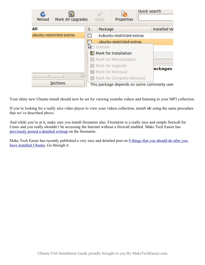| $\mathcal C$<br>Mark All Upgrades<br>Reload | Properties<br>Apply                                                                                                 | Quick search        |
|---------------------------------------------|---------------------------------------------------------------------------------------------------------------------|---------------------|
| All                                         | Package<br>S                                                                                                        | <b>Installed Ve</b> |
| ubuntu-restricted-extras                    | kubuntu-restricted-extras<br>$\overline{\phantom{a}}$                                                               |                     |
|                                             | ubuntu-restricted-extras<br>Unmark<br>Mark for Installation<br>Mark for Reinstallation<br><b>S</b> Mark for Upgrade | ackages             |
| $\mathbf{H}$<br><b>Sections</b>             | Mark for Removal<br>$\rightarrow$<br>Mark for Complete Removal<br>This package depends on some commonly use         |                     |

Your shiny new Ubuntu install should now be set for viewing youtube videos and listening to your MP3 collection.

If you're looking for a really nice video player to view your videos collection, install *vlc* using the same procedure that we've described above.

And while you're at it, make sure you install firestarter also. Firestarter is a really nice and simple firewall for Linux and you really shouldn't be accessing the Internet without a firewall enabled. Make Tech Easier has [previously posted a detailed writeup](http://maketecheasier.com/configure-a-firewall-in-linux-using-firestarter/2009/03/29) on the firestarter.

Make Tech Easier has recently published a very nice and detailed post on [9 things that you should do after you](http://maketecheasier.com/9-things-you-need-to-doinstall-after-installing-ubuntu-904/2009/04/22) [have installed Ubuntu.](http://maketecheasier.com/9-things-you-need-to-doinstall-after-installing-ubuntu-904/2009/04/22) Go through it.